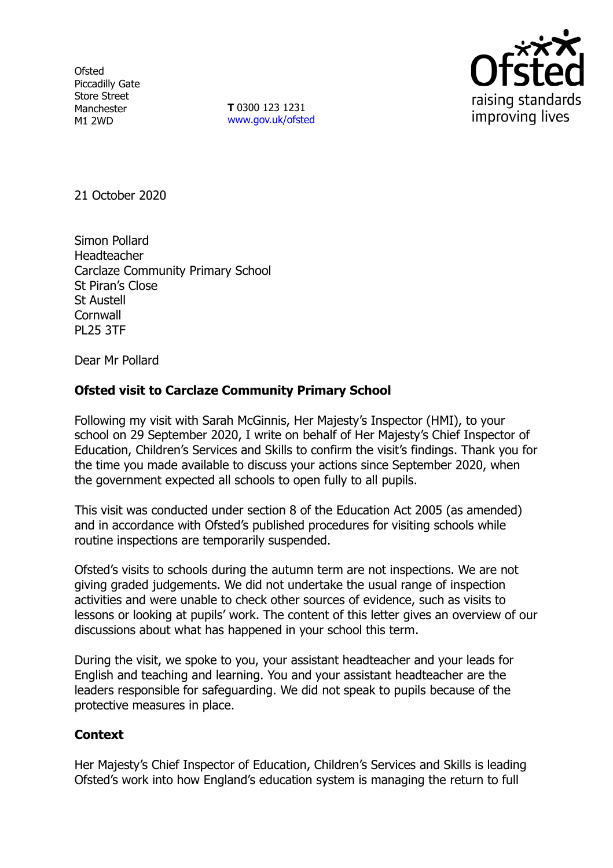**Ofsted** Piccadilly Gate Store Street Manchester M1 2WD

**T** 0300 123 1231 [www.gov.uk/ofsted](http://www.gov.uk/ofsted)



21 October 2020

Simon Pollard Headteacher Carclaze Community Primary School St Piran's Close St Austell **Cornwall** PL25 3TF

Dear Mr Pollard

## **Ofsted visit to Carclaze Community Primary School**

Following my visit with Sarah McGinnis, Her Majesty's Inspector (HMI), to your school on 29 September 2020, I write on behalf of Her Majesty's Chief Inspector of Education, Children's Services and Skills to confirm the visit's findings. Thank you for the time you made available to discuss your actions since September 2020, when the government expected all schools to open fully to all pupils.

This visit was conducted under section 8 of the Education Act 2005 (as amended) and in accordance with Ofsted's published procedures for visiting schools while routine inspections are temporarily suspended.

Ofsted's visits to schools during the autumn term are not inspections. We are not giving graded judgements. We did not undertake the usual range of inspection activities and were unable to check other sources of evidence, such as visits to lessons or looking at pupils' work. The content of this letter gives an overview of our discussions about what has happened in your school this term.

During the visit, we spoke to you, your assistant headteacher and your leads for English and teaching and learning. You and your assistant headteacher are the leaders responsible for safeguarding. We did not speak to pupils because of the protective measures in place.

## **Context**

Her Majesty's Chief Inspector of Education, Children's Services and Skills is leading Ofsted's work into how England's education system is managing the return to full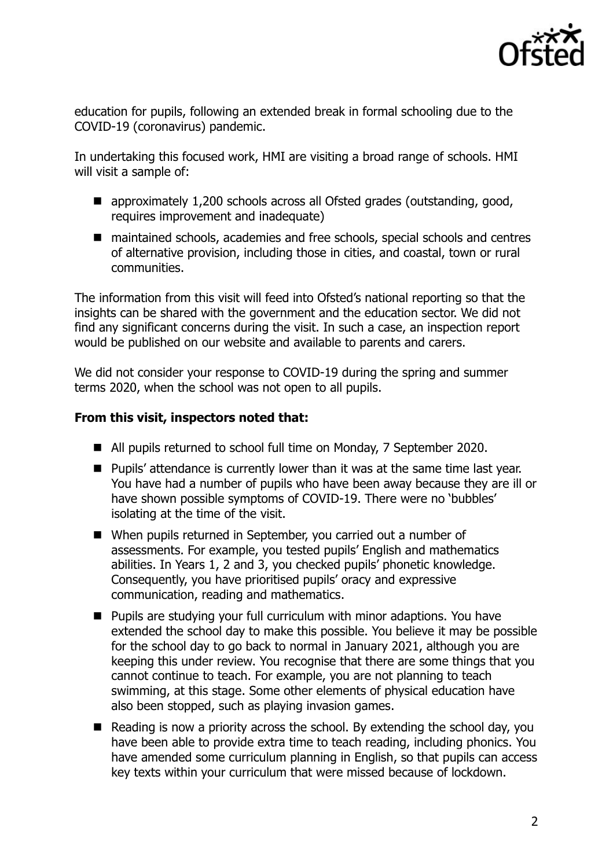

education for pupils, following an extended break in formal schooling due to the COVID-19 (coronavirus) pandemic.

In undertaking this focused work, HMI are visiting a broad range of schools. HMI will visit a sample of:

- approximately 1,200 schools across all Ofsted grades (outstanding, good, requires improvement and inadequate)
- maintained schools, academies and free schools, special schools and centres of alternative provision, including those in cities, and coastal, town or rural communities.

The information from this visit will feed into Ofsted's national reporting so that the insights can be shared with the government and the education sector. We did not find any significant concerns during the visit. In such a case, an inspection report would be published on our website and available to parents and carers.

We did not consider your response to COVID-19 during the spring and summer terms 2020, when the school was not open to all pupils.

## **From this visit, inspectors noted that:**

- All pupils returned to school full time on Monday, 7 September 2020.
- **Pupils' attendance is currently lower than it was at the same time last year.** You have had a number of pupils who have been away because they are ill or have shown possible symptoms of COVID-19. There were no 'bubbles' isolating at the time of the visit.
- When pupils returned in September, you carried out a number of assessments. For example, you tested pupils' English and mathematics abilities. In Years 1, 2 and 3, you checked pupils' phonetic knowledge. Consequently, you have prioritised pupils' oracy and expressive communication, reading and mathematics.
- Pupils are studying your full curriculum with minor adaptions. You have extended the school day to make this possible. You believe it may be possible for the school day to go back to normal in January 2021, although you are keeping this under review. You recognise that there are some things that you cannot continue to teach. For example, you are not planning to teach swimming, at this stage. Some other elements of physical education have also been stopped, such as playing invasion games.
- Reading is now a priority across the school. By extending the school day, you have been able to provide extra time to teach reading, including phonics. You have amended some curriculum planning in English, so that pupils can access key texts within your curriculum that were missed because of lockdown.